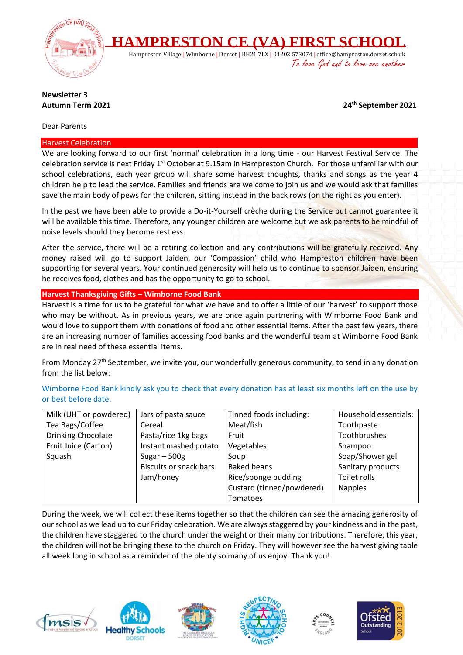

# **Newsletter 3**

**Autumn Term 2021 24th September 2021**

## Dear Parents

#### Harvest Celebration

We are looking forward to our first 'normal' celebration in a long time - our Harvest Festival Service. The celebration service is next Friday 1<sup>st</sup> October at 9.15am in Hampreston Church. For those unfamiliar with our school celebrations, each year group will share some harvest thoughts, thanks and songs as the year 4 children help to lead the service. Families and friends are welcome to join us and we would ask that families save the main body of pews for the children, sitting instead in the back rows (on the right as you enter).

In the past we have been able to provide a Do-it-Yourself crèche during the Service but cannot guarantee it will be available this time. Therefore, any younger children are welcome but we ask parents to be mindful of noise levels should they become restless.

After the service, there will be a retiring collection and any contributions will be gratefully received. Any money raised will go to support Jaiden, our 'Compassion' child who Hampreston children have been supporting for several years. Your continued generosity will help us to continue to sponsor Jaiden, ensuring he receives food, clothes and has the opportunity to go to school.

## **Harvest Thanksgiving Gifts – Wimborne Food Bank**

Harvest is a time for us to be grateful for what we have and to offer a little of our 'harvest' to support those who may be without. As in previous years, we are once again partnering with Wimborne Food Bank and would love to support them with donations of food and other essential items. After the past few years, there are an increasing number of families accessing food banks and the wonderful team at Wimborne Food Bank are in real need of these essential items.

From Monday 27<sup>th</sup> September, we invite you, our wonderfully generous community, to send in any donation from the list below:

Wimborne Food Bank kindly ask you to check that every donation has at least six months left on the use by or best before date.

| Milk (UHT or powdered) | Jars of pasta sauce           | Tinned foods including:   | Household essentials: |
|------------------------|-------------------------------|---------------------------|-----------------------|
| Tea Bags/Coffee        | Cereal                        | Meat/fish                 | Toothpaste            |
| Drinking Chocolate     | Pasta/rice 1kg bags           | Fruit                     | Toothbrushes          |
| Fruit Juice (Carton)   | Instant mashed potato         | Vegetables                | Shampoo               |
| Squash                 | Sugar $-500g$                 | Soup                      | Soap/Shower gel       |
|                        | <b>Biscuits or snack bars</b> | <b>Baked beans</b>        | Sanitary products     |
|                        | Jam/honey                     | Rice/sponge pudding       | Toilet rolls          |
|                        |                               | Custard (tinned/powdered) | <b>Nappies</b>        |
|                        |                               | Tomatoes                  |                       |

During the week, we will collect these items together so that the children can see the amazing generosity of our school as we lead up to our Friday celebration. We are always staggered by your kindness and in the past, the children have staggered to the church under the weight or their many contributions. Therefore, this year, the children will not be bringing these to the church on Friday. They will however see the harvest giving table all week long in school as a reminder of the plenty so many of us enjoy. Thank you!









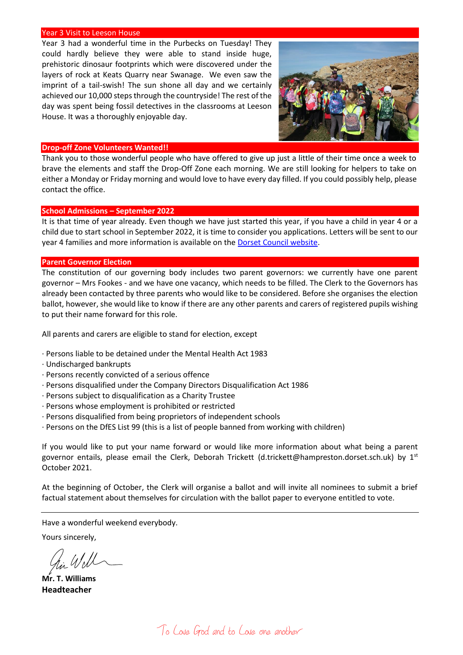#### Year 3 Visit to Leeson House

Year 3 had a wonderful time in the Purbecks on Tuesday! They could hardly believe they were able to stand inside huge, prehistoric dinosaur footprints which were discovered under the layers of rock at Keats Quarry near Swanage. We even saw the imprint of a tail-swish! The sun shone all day and we certainly achieved our 10,000 steps through the countryside! The rest of the day was spent being fossil detectives in the classrooms at Leeson House. It was a thoroughly enjoyable day.



## **Drop-off Zone Volunteers Wanted!!**

Thank you to those wonderful people who have offered to give up just a little of their time once a week to brave the elements and staff the Drop-Off Zone each morning. We are still looking for helpers to take on either a Monday or Friday morning and would love to have every day filled. If you could possibly help, please contact the office.

#### **School Admissions – September 2022**

It is that time of year already. Even though we have just started this year, if you have a child in year 4 or a child due to start school in September 2022, it is time to consider you applications. Letters will be sent to our year 4 families and more information is available on the [Dorset Council website.](https://www.dorsetcouncil.gov.uk/education-and-training/schools-and-learning/apply-for-a-school-place/apply-for-a-school-place)

#### **Parent Governor Election**

The constitution of our governing body includes two parent governors: we currently have one parent governor – Mrs Fookes - and we have one vacancy, which needs to be filled. The Clerk to the Governors has already been contacted by three parents who would like to be considered. Before she organises the election ballot, however, she would like to know if there are any other parents and carers of registered pupils wishing to put their name forward for this role.

All parents and carers are eligible to stand for election, except

- · Persons liable to be detained under the Mental Health Act 1983
- · Undischarged bankrupts
- · Persons recently convicted of a serious offence
- · Persons disqualified under the Company Directors Disqualification Act 1986
- · Persons subject to disqualification as a Charity Trustee
- · Persons whose employment is prohibited or restricted
- · Persons disqualified from being proprietors of independent schools
- · Persons on the DfES List 99 (this is a list of people banned from working with children)

If you would like to put your name forward or would like more information about what being a parent governor entails, please email the Clerk, Deborah Trickett (d.trickett@hampreston.dorset.sch.uk) by  $1^{st}$ October 2021.

At the beginning of October, the Clerk will organise a ballot and will invite all nominees to submit a brief factual statement about themselves for circulation with the ballot paper to everyone entitled to vote.

Have a wonderful weekend everybody.

Yours sincerely,

**Mr. T. Williams Headteacher**

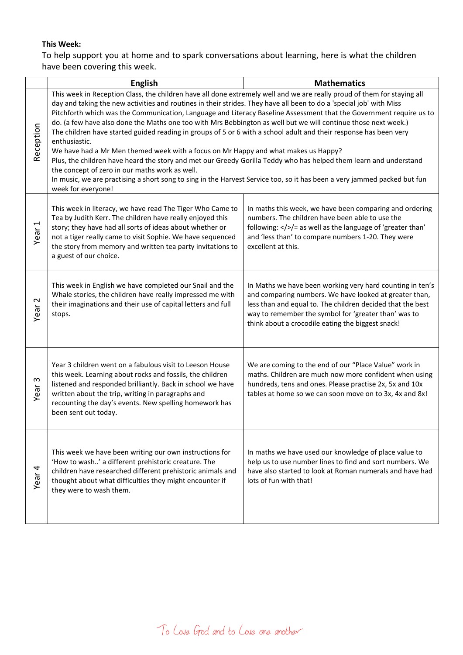## **This Week:**

To help support you at home and to spark conversations about learning, here is what the children have been covering this week.

|                        | <b>English</b>                                                                                                                                                                                                                                                                                                                                                                                                                                                                                                                                                                                                                                                                                                                                                                                                                                                                                                        | <b>Mathematics</b>                                                                                                                                                                                                                                                                             |
|------------------------|-----------------------------------------------------------------------------------------------------------------------------------------------------------------------------------------------------------------------------------------------------------------------------------------------------------------------------------------------------------------------------------------------------------------------------------------------------------------------------------------------------------------------------------------------------------------------------------------------------------------------------------------------------------------------------------------------------------------------------------------------------------------------------------------------------------------------------------------------------------------------------------------------------------------------|------------------------------------------------------------------------------------------------------------------------------------------------------------------------------------------------------------------------------------------------------------------------------------------------|
| Reception              | This week in Reception Class, the children have all done extremely well and we are really proud of them for staying all<br>day and taking the new activities and routines in their strides. They have all been to do a 'special job' with Miss<br>do. (a few have also done the Maths one too with Mrs Bebbington as well but we will continue those next week.)<br>The children have started guided reading in groups of 5 or 6 with a school adult and their response has been very<br>enthusiastic.<br>We have had a Mr Men themed week with a focus on Mr Happy and what makes us Happy?<br>Plus, the children have heard the story and met our Greedy Gorilla Teddy who has helped them learn and understand<br>the concept of zero in our maths work as well.<br>In music, we are practising a short song to sing in the Harvest Service too, so it has been a very jammed packed but fun<br>week for everyone! | Pitchforth which was the Communication, Language and Literacy Baseline Assessment that the Government require us to                                                                                                                                                                            |
| $\overline{ }$<br>Year | This week in literacy, we have read The Tiger Who Came to<br>Tea by Judith Kerr. The children have really enjoyed this<br>story; they have had all sorts of ideas about whether or<br>not a tiger really came to visit Sophie. We have sequenced<br>the story from memory and written tea party invitations to<br>a guest of our choice.                                                                                                                                                                                                                                                                                                                                                                                                                                                                                                                                                                              | In maths this week, we have been comparing and ordering<br>numbers. The children have been able to use the<br>following: $\langle \rangle$ = as well as the language of 'greater than'<br>and 'less than' to compare numbers 1-20. They were<br>excellent at this.                             |
| 2<br>Year              | This week in English we have completed our Snail and the<br>Whale stories, the children have really impressed me with<br>their imaginations and their use of capital letters and full<br>stops.                                                                                                                                                                                                                                                                                                                                                                                                                                                                                                                                                                                                                                                                                                                       | In Maths we have been working very hard counting in ten's<br>and comparing numbers. We have looked at greater than,<br>less than and equal to. The children decided that the best<br>way to remember the symbol for 'greater than' was to<br>think about a crocodile eating the biggest snack! |
| S<br>Year              | Year 3 children went on a fabulous visit to Leeson House<br>this week. Learning about rocks and fossils, the children<br>listened and responded brilliantly. Back in school we have<br>written about the trip, writing in paragraphs and<br>recounting the day's events. New spelling homework has<br>been sent out today.                                                                                                                                                                                                                                                                                                                                                                                                                                                                                                                                                                                            | We are coming to the end of our "Place Value" work in<br>maths. Children are much now more confident when using<br>hundreds, tens and ones. Please practise 2x, 5x and 10x<br>tables at home so we can soon move on to 3x, 4x and 8x!                                                          |
| Year <sub>4</sub>      | This week we have been writing our own instructions for<br>'How to wash' a different prehistoric creature. The<br>children have researched different prehistoric animals and<br>thought about what difficulties they might encounter if<br>they were to wash them.                                                                                                                                                                                                                                                                                                                                                                                                                                                                                                                                                                                                                                                    | In maths we have used our knowledge of place value to<br>help us to use number lines to find and sort numbers. We<br>have also started to look at Roman numerals and have had<br>lots of fun with that!                                                                                        |

To Love God and to Love one another